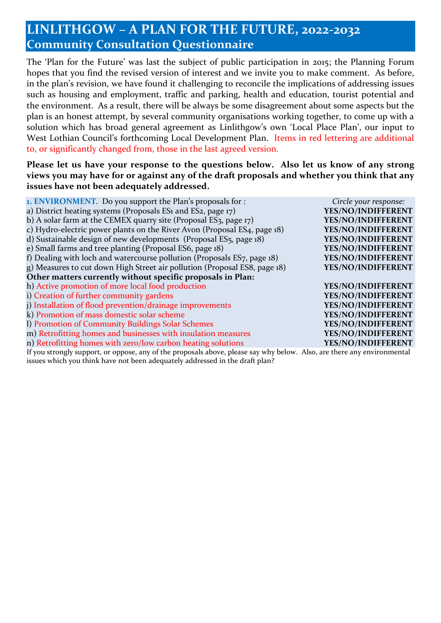## **LINLITHGOW – A PLAN FOR THE FUTURE, 2022-2032 Community Consultation Questionnaire**

The 'Plan for the Future' was last the subject of public participation in 2015; the Planning Forum hopes that you find the revised version of interest and we invite you to make comment. As before, in the plan's revision, we have found it challenging to reconcile the implications of addressing issues such as housing and employment, traffic and parking, health and education, tourist potential and the environment. As a result, there will be always be some disagreement about some aspects but the plan is an honest attempt, by several community organisations working together, to come up with a solution which has broad general agreement as Linlithgow's own 'Local Place Plan', our input to West Lothian Council's forthcoming Local Development Plan. Items in red lettering are additional to, or significantly changed from, those in the last agreed version.

## **Please let us have your response to the questions below. Also let us know of any strong views you may have for or against any of the draft proposals and whether you think that any issues have not been adequately addressed.**

| <b>1. ENVIRONMENT.</b> Do you support the Plan's proposals for :                                                     | Circle your response: |  |  |  |
|----------------------------------------------------------------------------------------------------------------------|-----------------------|--|--|--|
| a) District heating systems (Proposals ES1 and ES2, page 17)                                                         | YES/NO/INDIFFERENT    |  |  |  |
| b) A solar farm at the CEMEX quarry site (Proposal ES3, page 17)                                                     | YES/NO/INDIFFERENT    |  |  |  |
| c) Hydro-electric power plants on the River Avon (Proposal ES4, page 18)                                             | YES/NO/INDIFFERENT    |  |  |  |
| d) Sustainable design of new developments (Proposal ES5, page 18)                                                    | YES/NO/INDIFFERENT    |  |  |  |
| e) Small farms and tree planting (Proposal ES6, page 18)                                                             | YES/NO/INDIFFERENT    |  |  |  |
| f) Dealing with loch and watercourse pollution (Proposals ES7, page 18)                                              | YES/NO/INDIFFERENT    |  |  |  |
| g) Measures to cut down High Street air pollution (Proposal ES8, page 18)                                            | YES/NO/INDIFFERENT    |  |  |  |
| Other matters currently without specific proposals in Plan:                                                          |                       |  |  |  |
| h) Active promotion of more local food production                                                                    | YES/NO/INDIFFERENT    |  |  |  |
| i) Creation of further community gardens                                                                             | YES/NO/INDIFFERENT    |  |  |  |
| j) Installation of flood prevention/drainage improvements                                                            | YES/NO/INDIFFERENT    |  |  |  |
| k) Promotion of mass domestic solar scheme                                                                           | YES/NO/INDIFFERENT    |  |  |  |
| 1) Promotion of Community Buildings Solar Schemes                                                                    | YES/NO/INDIFFERENT    |  |  |  |
| m) Retrofitting homes and businesses with insulation measures                                                        | YES/NO/INDIFFERENT    |  |  |  |
| n) Retrofitting homes with zero/low carbon heating solutions                                                         | YES/NO/INDIFFERENT    |  |  |  |
| If you grandy cupport or oppose, any of the preposals above, please say why below. Also, are there any environmental |                       |  |  |  |

If you strongly support, or oppose, any of the proposals above, please say why below. Also, are there any environmental issues which you think have not been adequately addressed in the draft plan?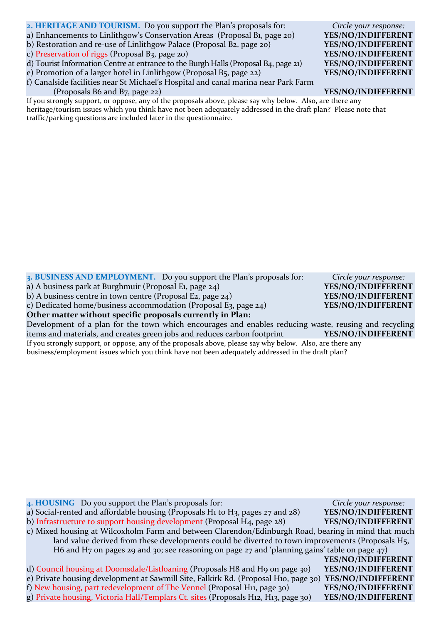- **2. HERITAGE AND TOURISM.** Do you support the Plan's proposals for: *Circle your response:*
- a) Enhancements to Linlithgow's Conservation Areas (Proposal B1, page 20) **YES/NO/INDIFFERENT**
- b) Restoration and re-use of Linlithgow Palace (Proposal B2, page 20) **YES/NO/INDIFFERENT**

c) Preservation of riggs (Proposal B3, page 20) **YES/NO/INDIFFERENT**

d) Tourist Information Centre at entrance to the Burgh Halls (Proposal B4, page 21) **YES/NO/INDIFFERENT**

e) Promotion of a larger hotel in Linlithgow (Proposal B5, page 22) **YES/NO/INDIFFERENT**

f) Canalside facilities near St Michael's Hospital and canal marina near Park Farm (Proposals B6 and B7, page 22) **YES/NO/INDIFFERENT**

If you strongly support, or oppose, any of the proposals above, please say why below. Also, are there any heritage/tourism issues which you think have not been adequately addressed in the draft plan? Please note that traffic/parking questions are included later in the questionnaire.

**3. BUSINESS AND EMPLOYMENT.** Do you support the Plan's proposals for: *Circle your response:*

a) A business park at Burghmuir (Proposal E1, page 24) **YES/NO/INDIFFERENT**

b) A business centre in town centre (Proposal E2, page 24) **YES/NO/INDIFFERENT**

c) Dedicated home/business accommodation (Proposal E3, page 24) **YES/NO/INDIFFERENT**

**Other matter without specific proposals currently in Plan:**

Development of a plan for the town which encourages and enables reducing waste, reusing and recycling items and materials, and creates green jobs and reduces carbon footprint **YES/NO/INDIFFERENT**

If you strongly support, or oppose, any of the proposals above, please say why below. Also, are there any business/employment issues which you think have not been adequately addressed in the draft plan?

**4. HOUSING** Do you support the Plan's proposals for: *Circle your response:* a) Social-rented and affordable housing (Proposals H1 to H3, pages 27 and 28) **YES/NO/INDIFFERENT** b) Infrastructure to support housing development (Proposal H4, page 28) **YES/NO/INDIFFERENT** c) Mixed housing at Wilcoxholm Farm and between Clarendon/Edinburgh Road, bearing in mind that much land value derived from these developments could be diverted to town improvements (Proposals H5, H6 and H7 on pages 29 and 30; see reasoning on page 27 and 'planning gains' table on page 47) **YES/NO/INDIFFERENT** d) Council housing at Doomsdale/Listloaning (Proposals H8 and H9 on page 30) **YES/NO/INDIFFERENT** e) Private housing development at Sawmill Site, Falkirk Rd. (Proposal H10, page 30) **YES/NO/INDIFFERENT** f) New housing, part redevelopment of The Vennel (Proposal H11, page 30) **YES/NO/INDIFFERENT** g) Private housing, Victoria Hall/Templars Ct. sites (Proposals H12, H13, page 30) **YES/NO/INDIFFERENT**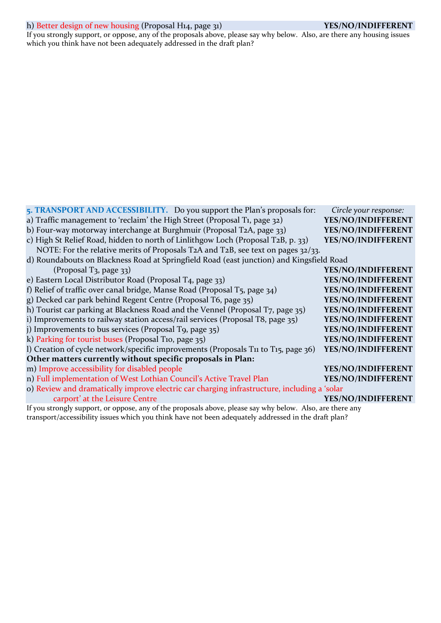## h) Better design of new housing (Proposal H14, page 31) **YES/NO/INDIFFERENT**

If you strongly support, or oppose, any of the proposals above, please say why below. Also, are there any housing issues which you think have not been adequately addressed in the draft plan?

| 5. TRANSPORT AND ACCESSIBILITY. Do you support the Plan's proposals for:                                  | Circle your response: |  |
|-----------------------------------------------------------------------------------------------------------|-----------------------|--|
| a) Traffic management to 'reclaim' the High Street (Proposal T1, page 32)                                 | YES/NO/INDIFFERENT    |  |
| b) Four-way motorway interchange at Burghmuir (Proposal T2A, page 33)                                     | YES/NO/INDIFFERENT    |  |
| c) High St Relief Road, hidden to north of Linlithgow Loch (Proposal T2B, p. 33)                          | YES/NO/INDIFFERENT    |  |
| NOTE: For the relative merits of Proposals T2A and T2B, see text on pages 32/33.                          |                       |  |
| d) Roundabouts on Blackness Road at Springfield Road (east junction) and Kingsfield Road                  |                       |  |
| (Proposal T <sub>3</sub> , page 33)                                                                       | YES/NO/INDIFFERENT    |  |
| e) Eastern Local Distributor Road (Proposal T4, page 33)                                                  | YES/NO/INDIFFERENT    |  |
| f) Relief of traffic over canal bridge, Manse Road (Proposal T5, page 34)                                 | YES/NO/INDIFFERENT    |  |
| g) Decked car park behind Regent Centre (Proposal T6, page 35)                                            | YES/NO/INDIFFERENT    |  |
| h) Tourist car parking at Blackness Road and the Vennel (Proposal T7, page 35)                            | YES/NO/INDIFFERENT    |  |
| i) Improvements to railway station access/rail services (Proposal T8, page 35)                            | YES/NO/INDIFFERENT    |  |
| j) Improvements to bus services (Proposal T9, page 35)                                                    | YES/NO/INDIFFERENT    |  |
| k) Parking for tourist buses (Proposal T10, page 35)                                                      | YES/NO/INDIFFERENT    |  |
| l) Creation of cycle network/specific improvements (Proposals T11 to T15, page 36)                        | YES/NO/INDIFFERENT    |  |
| Other matters currently without specific proposals in Plan:                                               |                       |  |
| m) Improve accessibility for disabled people                                                              | YES/NO/INDIFFERENT    |  |
| n) Full implementation of West Lothian Council's Active Travel Plan                                       | YES/NO/INDIFFERENT    |  |
| o) Review and dramatically improve electric car charging infrastructure, including a 'solar               |                       |  |
| carport' at the Leisure Centre                                                                            | YES/NO/INDIFFERENT    |  |
| If you strongly support, or oppose, any of the proposals above, please say why below. Also, are there any |                       |  |

transport/accessibility issues which you think have not been adequately addressed in the draft plan?